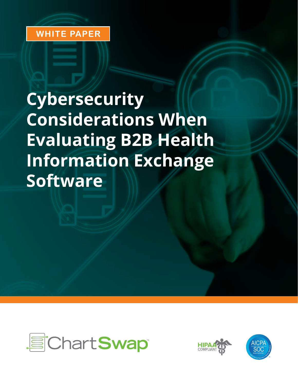## **WHITE PAPER**

# **Cybersecurity Considerations When Evaluating B2B Health Information Exchange Software**





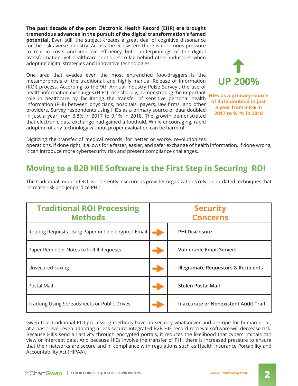**The past decade of the post Electronic Health Record (EHR) era brought tremendous advances in the pursuit of the digital transformation's famed potential.** Even still, the subject creates a great deal of cognitive dissonance for the risk-averse industry. Across the ecosystem there is enormous pressure to rein in costs and improve efficiency--both underpinnings of the digital transformation--yet healthcare continues to lag behind other industries when adopting digital strategies and innovative technologies.

One area that evades even the most entrenched foot-draggers is the metamorphosis of the traditional, and highly manual Release of Information (ROI) process. According to the 9th Annual Industry Pulse Survey<sup>1</sup> , the use of health information exchanges (HIEs) rose sharply, demonstrating the important role in healthcare by facilitating the transfer of sensitive personal health information (PHI) between physicians, hospitals, payers, law firms, and other providers. Survey respondents using HIEs as a primary source of data doubled in just a year from 3.8% in 2017 to 9.1% in 2018. The growth demonstrated that electronic data exchange had gained a foothold. While encouraging, rapid adoption of any technology without proper evaluation can be harmful.



**HIEs as a primary source of data doubled in just a year from 3.8% in 2017 to 9.1% in 2018**

Digitizing the transfer of medical records, for better or worse, revolutionizes operations. If done right, it allows for a faster, easier, and safer exchange of health information. If done wrong, it can introduce more cybersecurity risk and present compliance challenges.

## **Moving to a B2B HIE Software is the First Step in Securing ROI**

**Traditional ROI Processing Methods Security Concerns** Routing Requests Using Paper or Unencrypted Email • **PHI Disclosure** Paper Reminder Notes to Fulfill Requests **•** *I***ncept Act Act Vulnerable Email Servers** Unsecured Faxing • **Illegitimate Requestors & Recipients** Postal Mail • **Stolen Postal Mail** Tracking Using Spreadsheets or Public Drives • **Inaccurate or Nonexistent Audit Trail**

The traditional model of ROI is inherently insecure as provider organizations rely on outdated techniques that increase risk and jeopardize PHI:

Given that traditional ROI processing methods have no security whatsoever and are ripe for human error, at a basic level, even adopting a 'less secure' integrated B2B HIE record retrieval software will decrease risk. Because HIEs send all activity through encrypted portals, it reduces the likelihood that cybercriminals can view or intercept data. And because HIEs involve the transfer of PHI, there is increased pressure to ensure that their networks are secure and in compliance with regulations such as Health Insurance Portability and Accountability Act (HIPAA).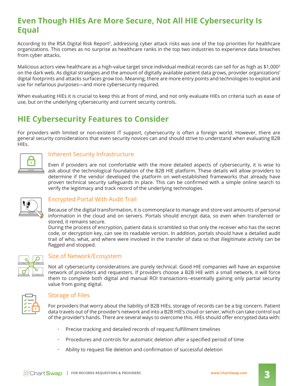## **Even Though HIEs Are More Secure, Not All HIE Cybersecurity Is Equal**

According to the RSA Digital Risk Report<sup>2</sup>, addressing cyber attack risks was one of the top priorities for healthcare organizations. This comes as no surprise as healthcare ranks in the top two industries to experience data breaches from cyber attacks.

Malicious actors view healthcare as a high-value target since individual medical records can sell for as high as \$1,000<sup>3</sup> on the dark web. As digital strategies and the amount of digitally available patient data grows, provider organizations' digital footprints and attacks surfaces grow too. Meaning, there are more entry points and technologies to exploit and use for nefarious purposes—and more cybersecurity required.

When evaluating HIEs it is crucial to keep this at front of mind, and not only evaluate HIEs on criteria such as ease of use, but on the underlying cybersecurity and current security controls.

## **HIE Cybersecurity Features to Consider**

For providers with limited or non-existent IT support, cybersecurity is often a foreign world. However, there are general security considerations that even security novices can and should strive to understand when evaluating B2B HIEs.



#### Inherent Security Infrastructure

Even if providers are not comfortable with the more detailed aspects of cybersecurity, it is wise to ask about the technological foundation of the B2B HIE platform. These details will allow providers to determine if the vendor developed the platform on well-established frameworks that already have proven technical security safeguards in place. This can be confirmed with a simple online search to verify the legitimacy and track record of the underlying technologies.



### Encrypted Portal With Audit Trail

Because of the digital transformation, it is commonplace to manage and store vast amounts of personal information in the cloud and on servers. Portals should encrypt data, so even when transferred or stored, it remains secure.

During the process of encryption, patient data is scrambled so that only the receiver who has the secret code, or decryption key, can see its readable version. In addition, portals should have a detailed audit trail of who, what, and where were involved in the transfer of data so that illegitimate activity can be flagged and stopped.



#### Size of Network/Ecosystem

Not all cybersecurity considerations are purely technical. Good HIE companies will have an expansive network of providers and requesters. If providers choose a B2B HIE with a small network, it will force them to complete both digital and manual ROI transactions--essentially gaining only partial security value from going digital.



### Storage of Files

For providers that worry about the liability of B2B HIEs, storage of records can be a big concern. Patient data travels out of the provider's network and into a B2B HIE's cloud or server, which can take control out of the provider's hands. There are several ways to overcome this. HIEs should offer encrypted data with:

- Precise tracking and detailed records of request fulfillment timelines
- Procedures and controls for automatic deletion after a specified period of time
- Ability to request file deletion and confirmation of successful deletion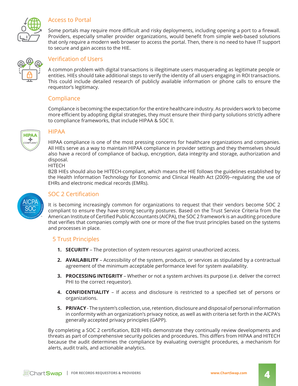

#### Access to Portal

Some portals may require more difficult and risky deployments, including opening a port to a firewall. Providers, especially smaller provider organizations, would benefit from simple web-based solutions that only require a modern web browser to access the portal. Then, there is no need to have IT support to secure and gain access to the HIE.



#### Verification of Users

A common problem with digital transactions is illegitimate users masquerading as legitimate people or entities. HIEs should take additional steps to verify the identity of all users engaging in ROI transactions. This could include detailed research of publicly available information or phone calls to ensure the requestor's legitimacy.

#### Compliance

Compliance is becoming the expectation for the entire healthcare industry. As providers work to become more efficient by adopting digital strategies, they must ensure their third-party solutions strictly adhere to compliance frameworks, that include HIPAA & SOC II.



#### HIPAA

HIPAA compliance is one of the most pressing concerns for healthcare organizations and companies. All HIEs serve as a way to maintain HIPAA compliance in provider settings and they themselves should also have a record of compliance of backup, encryption, data integrity and storage, authorization and disposal.

#### HITECH

B2B HIEs should also be HITECH-compliant, which means the HIE follows the guidelines established by the Health Information Technology for Economic and Clinical Health Act (2009)--regulating the use of EHRs and electronic medical records (EMRs).



### SOC 2 Certification

It is becoming increasingly common for organizations to request that their vendors become SOC 2 compliant to ensure they have strong security postures. Based on the Trust Service Criteria from the American Institute of Certified Public Accountants (AICPA), the SOC 2 framework is an auditing procedure that verifies that companies comply with one or more of the five trust principles based on the systems and processes in place.

#### 5 Trust Principles

- **1. SECURITY** The protection of system resources against unauthorized access.
- **2. AVAILABILITY**  Accessibility of the system, products, or services as stipulated by a contractual agreement of the minimum acceptable performance level for system availability.
- **3. PROCESSING INTEGRITY** Whether or not a system archives its purpose (i.e. deliver the correct PHI to the correct requestor).
- **4. CONFIDENTIALITY** If access and disclosure is restricted to a specified set of persons or organizations.
- **5. PRIVACY**  The system's collection, use, retention, disclosure and disposal of personal information in conformity with an organization's privacy notice, as well as with criteria set forth in the AICPA's generally accepted privacy principles (GAPP).

By completing a SOC 2 certification, B2B HIEs demonstrate they continually review developments and threats as part of comprehensive security policies and procedures. This differs from HIPAA and HITECH because the audit determines the compliance by evaluating oversight procedures, a mechanism for alerts, audit trails, and actionable analytics.